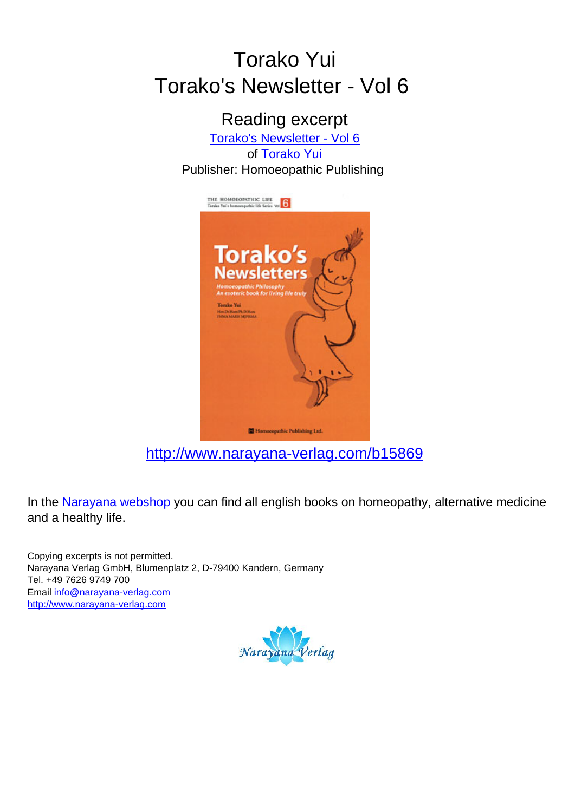## Torako Yui Torako's Newsletter - Vol 6

Reading excerpt [Torako's Newsletter - Vol 6](http://www.narayana-verlag.com/Torako-s-Newsletter-Vol-6-Torako-Yui/b15869/partner/leseprobe) of [Torako Yui](http://www.narayana-verlag.com/Torako-Yui/a1968/partner/leseprobe) Publisher: Homoeopathic Publishing



[http://www.narayana-verlag.com/b15869](http://www.narayana-verlag.com/Torako-s-Newsletter-Vol-6-Torako-Yui/b15869/partner/leseprobe)

In the [Narayana webshop](http://www.narayana-verlag.com/partner/leseprobe) you can find all english books on homeopathy, alternative medicine and a healthy life.

Copying excerpts is not permitted. Narayana Verlag GmbH, Blumenplatz 2, D-79400 Kandern, Germany Tel. +49 7626 9749 700 Email [info@narayana-verlag.com](mailto:info@narayana-verlag.com) [http://www.narayana-verlag.com](http://www.narayana-verlag.com/partner/leseprobe)

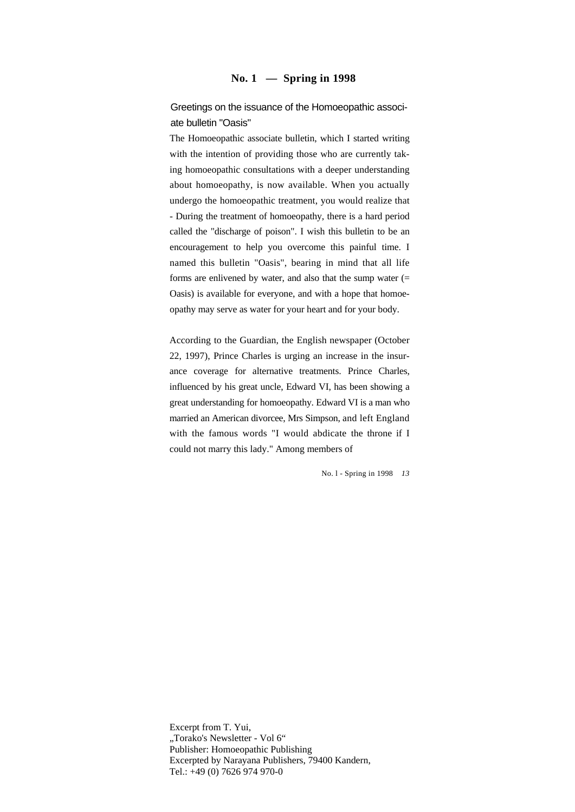## **No. 1 — Spring in 1998**

Greetings on the issuance of the Homoeopathic associate bulletin "Oasis"

The Homoeopathic associate bulletin, which I started writing with the intention of providing those who are currently taking homoeopathic consultations with a deeper understanding about homoeopathy, is now available. When you actually undergo the homoeopathic treatment, you would realize that - During the treatment of homoeopathy, there is a hard period called the "discharge of poison". I wish this bulletin to be an encouragement to help you overcome this painful time. I named this bulletin "Oasis", bearing in mind that all life forms are enlivened by water, and also that the sump water (= Oasis) is available for everyone, and with a hope that homoeopathy may serve as water for your heart and for your body.

According to the Guardian, the English newspaper (October 22, 1997), Prince Charles is urging an increase in the insurance coverage for alternative treatments. Prince Charles, influenced by his great uncle, Edward VI, has been showing a great understanding for homoeopathy. Edward VI is a man who married an American divorcee, Mrs Simpson, and left England with the famous words "I would abdicate the throne if I could not marry this lady." Among members of

No. l - Spring in 1998 *13*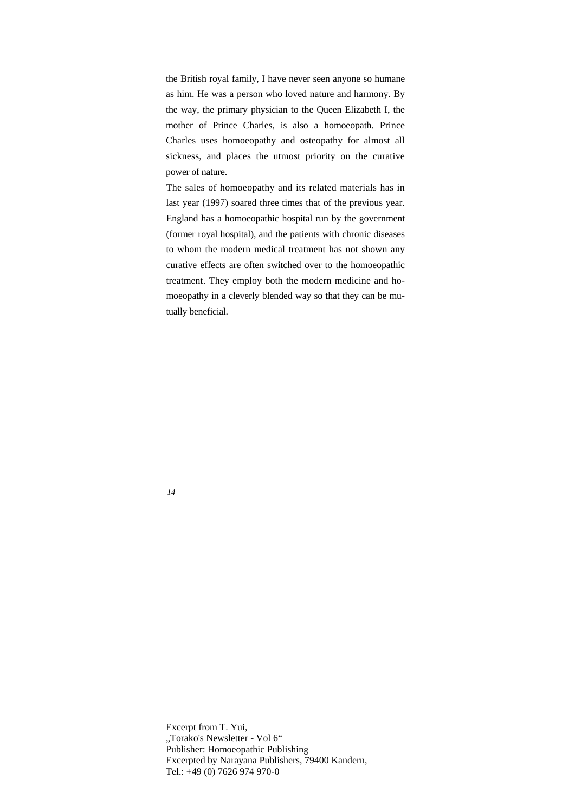the British royal family, I have never seen anyone so humane as him. He was a person who loved nature and harmony. By the way, the primary physician to the Queen Elizabeth I, the mother of Prince Charles, is also a homoeopath. Prince Charles uses homoeopathy and osteopathy for almost all sickness, and places the utmost priority on the curative power of nature.

The sales of homoeopathy and its related materials has in last year (1997) soared three times that of the previous year. England has a homoeopathic hospital run by the government (former royal hospital), and the patients with chronic diseases to whom the modern medical treatment has not shown any curative effects are often switched over to the homoeopathic treatment. They employ both the modern medicine and homoeopathy in a cleverly blended way so that they can be mutually beneficial.

*14*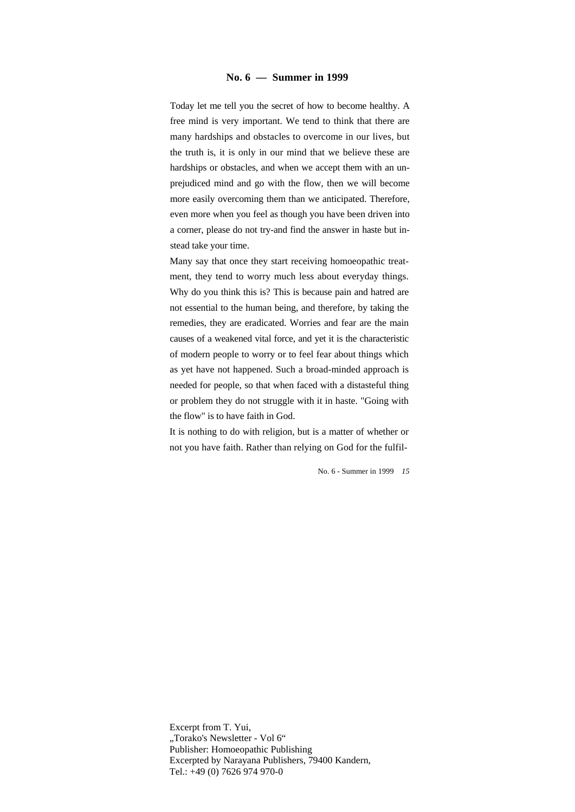## **No. 6 — Summer in 1999**

Today let me tell you the secret of how to become healthy. A free mind is very important. We tend to think that there are many hardships and obstacles to overcome in our lives, but the truth is, it is only in our mind that we believe these are hardships or obstacles, and when we accept them with an unprejudiced mind and go with the flow, then we will become more easily overcoming them than we anticipated. Therefore, even more when you feel as though you have been driven into a corner, please do not try-and find the answer in haste but instead take your time.

Many say that once they start receiving homoeopathic treatment, they tend to worry much less about everyday things. Why do you think this is? This is because pain and hatred are not essential to the human being, and therefore, by taking the remedies, they are eradicated. Worries and fear are the main causes of a weakened vital force, and yet it is the characteristic of modern people to worry or to feel fear about things which as yet have not happened. Such a broad-minded approach is needed for people, so that when faced with a distasteful thing or problem they do not struggle with it in haste. "Going with the flow" is to have faith in God.

It is nothing to do with religion, but is a matter of whether or not you have faith. Rather than relying on God for the fulfil-

No. 6 - Summer in 1999 *15*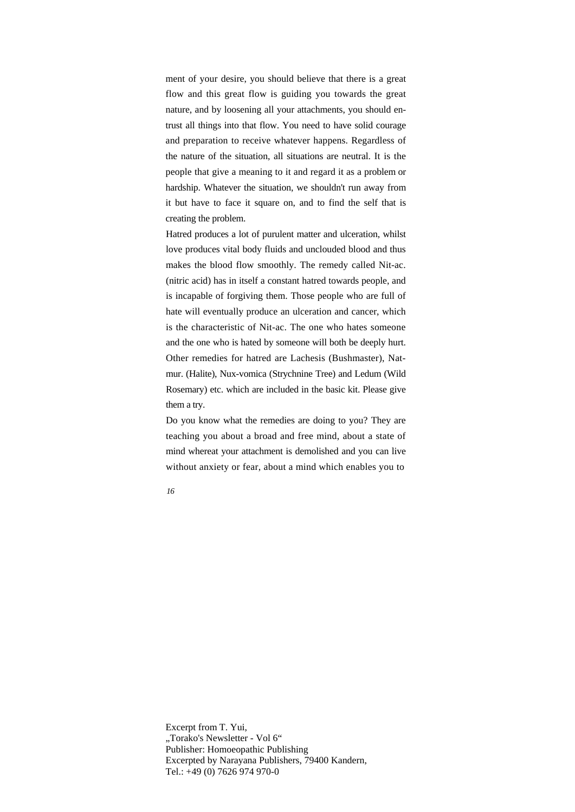ment of your desire, you should believe that there is a great flow and this great flow is guiding you towards the great nature, and by loosening all your attachments, you should entrust all things into that flow. You need to have solid courage and preparation to receive whatever happens. Regardless of the nature of the situation, all situations are neutral. It is the people that give a meaning to it and regard it as a problem or hardship. Whatever the situation, we shouldn't run away from it but have to face it square on, and to find the self that is creating the problem.

Hatred produces a lot of purulent matter and ulceration, whilst love produces vital body fluids and unclouded blood and thus makes the blood flow smoothly. The remedy called Nit-ac. (nitric acid) has in itself a constant hatred towards people, and is incapable of forgiving them. Those people who are full of hate will eventually produce an ulceration and cancer, which is the characteristic of Nit-ac. The one who hates someone and the one who is hated by someone will both be deeply hurt. Other remedies for hatred are Lachesis (Bushmaster), Natmur. (Halite), Nux-vomica (Strychnine Tree) and Ledum (Wild Rosemary) etc. which are included in the basic kit. Please give them a try.

Do you know what the remedies are doing to you? They are teaching you about a broad and free mind, about a state of mind whereat your attachment is demolished and you can live without anxiety or fear, about a mind which enables you to

*16*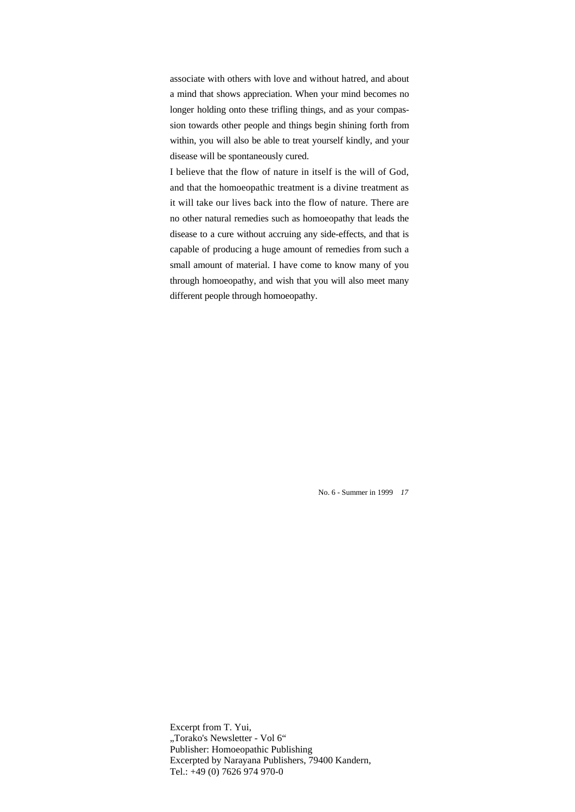associate with others with love and without hatred, and about a mind that shows appreciation. When your mind becomes no longer holding onto these trifling things, and as your compassion towards other people and things begin shining forth from within, you will also be able to treat yourself kindly, and your disease will be spontaneously cured.

I believe that the flow of nature in itself is the will of God, and that the homoeopathic treatment is a divine treatment as it will take our lives back into the flow of nature. There are no other natural remedies such as homoeopathy that leads the disease to a cure without accruing any side-effects, and that is capable of producing a huge amount of remedies from such a small amount of material. I have come to know many of you through homoeopathy, and wish that you will also meet many different people through homoeopathy.

No. 6 - Summer in 1999 *17*